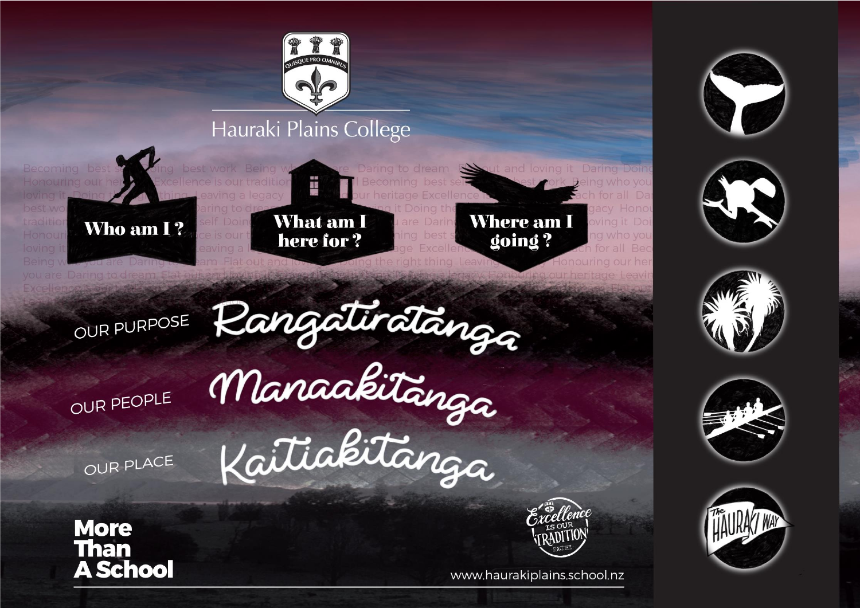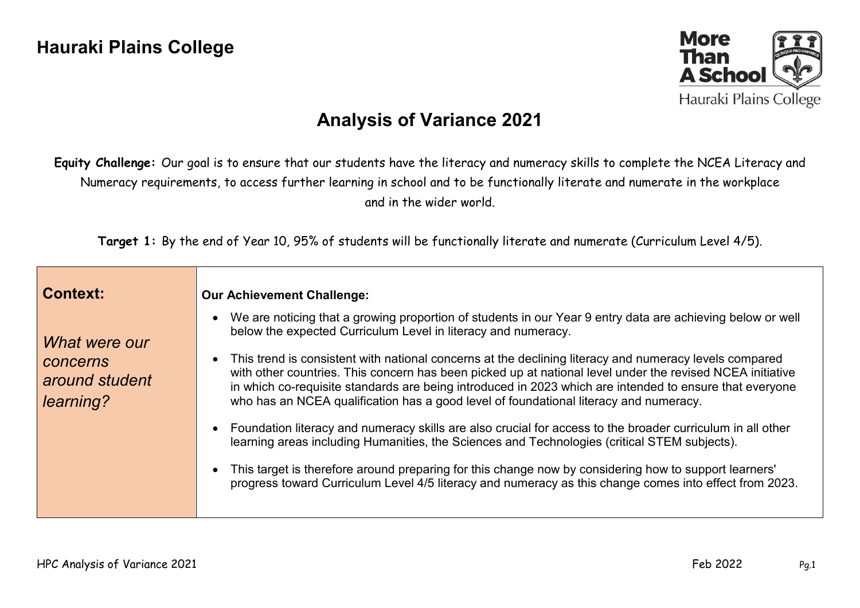

## **Analysis of Variance 2021**

**Equity Challenge:** Our goal is to ensure that our students have the literacy and numeracy skills to complete the NCEA Literacy and Numeracy requirements, to access further learning in school and to be functionally literate and numerate in the workplace and in the wider world.

**Target 1:** By the end of Year 10, 95% of students will be functionally literate and numerate (Curriculum Level 4/5).

| <b>Context:</b>                                          | <b>Our Achievement Challenge:</b>                                                                                                                                                                                                                                                                                                                                                                                                                                                                                                                                                                                                                                                                                                                                                                                                                                                                                                                                                                                                       |
|----------------------------------------------------------|-----------------------------------------------------------------------------------------------------------------------------------------------------------------------------------------------------------------------------------------------------------------------------------------------------------------------------------------------------------------------------------------------------------------------------------------------------------------------------------------------------------------------------------------------------------------------------------------------------------------------------------------------------------------------------------------------------------------------------------------------------------------------------------------------------------------------------------------------------------------------------------------------------------------------------------------------------------------------------------------------------------------------------------------|
| What were our<br>concerns<br>around student<br>learning? | We are noticing that a growing proportion of students in our Year 9 entry data are achieving below or well<br>below the expected Curriculum Level in literacy and numeracy.<br>This trend is consistent with national concerns at the declining literacy and numeracy levels compared<br>with other countries. This concern has been picked up at national level under the revised NCEA initiative<br>in which co-requisite standards are being introduced in 2023 which are intended to ensure that everyone<br>who has an NCEA qualification has a good level of foundational literacy and numeracy.<br>Foundation literacy and numeracy skills are also crucial for access to the broader curriculum in all other<br>learning areas including Humanities, the Sciences and Technologies (critical STEM subjects).<br>This target is therefore around preparing for this change now by considering how to support learners'<br>progress toward Curriculum Level 4/5 literacy and numeracy as this change comes into effect from 2023. |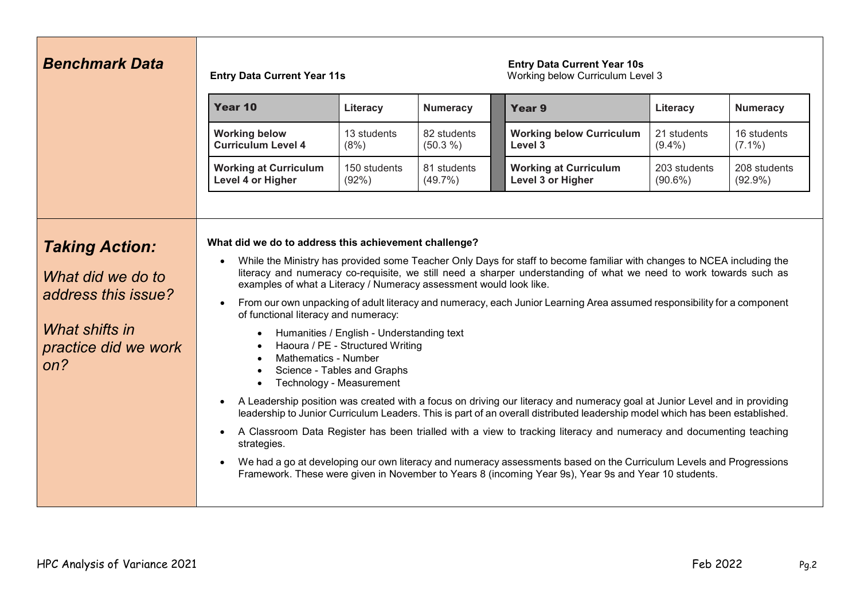| <b>Benchmark Data</b>                                                                                              | <b>Entry Data Current Year 11s</b>                                                                                                                                                                                                                                                                                                                                                                                                                                                                                                                                                                                                                                                                                                                                                                                                                                                                                                                                                                                                                                                                                                                                                                                                                                                                                                                                                                                                      |                       |                           | <b>Entry Data Current Year 10s</b><br>Working below Curriculum Level 3 |                            |                            |
|--------------------------------------------------------------------------------------------------------------------|-----------------------------------------------------------------------------------------------------------------------------------------------------------------------------------------------------------------------------------------------------------------------------------------------------------------------------------------------------------------------------------------------------------------------------------------------------------------------------------------------------------------------------------------------------------------------------------------------------------------------------------------------------------------------------------------------------------------------------------------------------------------------------------------------------------------------------------------------------------------------------------------------------------------------------------------------------------------------------------------------------------------------------------------------------------------------------------------------------------------------------------------------------------------------------------------------------------------------------------------------------------------------------------------------------------------------------------------------------------------------------------------------------------------------------------------|-----------------------|---------------------------|------------------------------------------------------------------------|----------------------------|----------------------------|
|                                                                                                                    | Year 10                                                                                                                                                                                                                                                                                                                                                                                                                                                                                                                                                                                                                                                                                                                                                                                                                                                                                                                                                                                                                                                                                                                                                                                                                                                                                                                                                                                                                                 | Literacy              | <b>Numeracy</b>           | Year 9                                                                 | Literacy                   | <b>Numeracy</b>            |
|                                                                                                                    | <b>Working below</b><br><b>Curriculum Level 4</b>                                                                                                                                                                                                                                                                                                                                                                                                                                                                                                                                                                                                                                                                                                                                                                                                                                                                                                                                                                                                                                                                                                                                                                                                                                                                                                                                                                                       | 13 students<br>(8%)   | 82 students<br>(50.3 %)   | <b>Working below Curriculum</b><br>Level 3                             | 21 students<br>$(9.4\%)$   | 16 students<br>$(7.1\%)$   |
|                                                                                                                    | <b>Working at Curriculum</b><br>Level 4 or Higher                                                                                                                                                                                                                                                                                                                                                                                                                                                                                                                                                                                                                                                                                                                                                                                                                                                                                                                                                                                                                                                                                                                                                                                                                                                                                                                                                                                       | 150 students<br>(92%) | 81 students<br>$(49.7\%)$ | <b>Working at Curriculum</b><br>Level 3 or Higher                      | 203 students<br>$(90.6\%)$ | 208 students<br>$(92.9\%)$ |
| <b>Taking Action:</b><br>What did we do to<br>address this issue?<br>What shifts in<br>practice did we work<br>on? | What did we do to address this achievement challenge?<br>While the Ministry has provided some Teacher Only Days for staff to become familiar with changes to NCEA including the<br>literacy and numeracy co-requisite, we still need a sharper understanding of what we need to work towards such as<br>examples of what a Literacy / Numeracy assessment would look like.<br>From our own unpacking of adult literacy and numeracy, each Junior Learning Area assumed responsibility for a component<br>of functional literacy and numeracy:<br>Humanities / English - Understanding text<br>$\bullet$<br>Haoura / PE - Structured Writing<br>$\bullet$<br><b>Mathematics - Number</b><br>$\bullet$<br>Science - Tables and Graphs<br>$\bullet$<br>Technology - Measurement<br>$\bullet$<br>A Leadership position was created with a focus on driving our literacy and numeracy goal at Junior Level and in providing<br>$\bullet$<br>leadership to Junior Curriculum Leaders. This is part of an overall distributed leadership model which has been established.<br>A Classroom Data Register has been trialled with a view to tracking literacy and numeracy and documenting teaching<br>strategies.<br>We had a go at developing our own literacy and numeracy assessments based on the Curriculum Levels and Progressions<br>Framework. These were given in November to Years 8 (incoming Year 9s), Year 9s and Year 10 students. |                       |                           |                                                                        |                            |                            |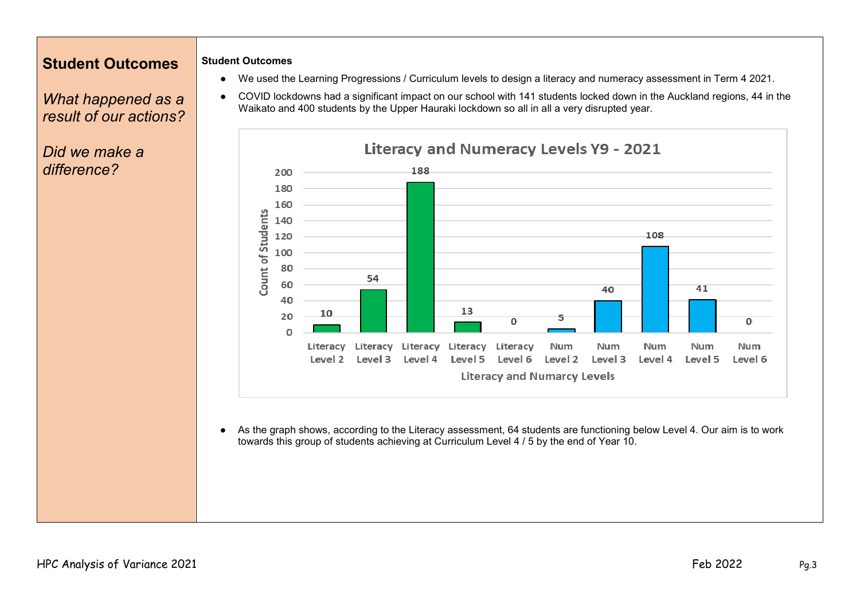### **Student Outcomes**

#### **Student Outcomes**

*What happened as a result of our actions?*

*Did we make a difference?*

- We used the Learning Progressions / Curriculum levels to design a literacy and numeracy assessment in Term 4 2021.
- COVID lockdowns had a significant impact on our school with 141 students locked down in the Auckland regions, 44 in the Waikato and 400 students by the Upper Hauraki lockdown so all in all a very disrupted year.



● As the graph shows, according to the Literacy assessment, 64 students are functioning below Level 4. Our aim is to work towards this group of students achieving at Curriculum Level 4 / 5 by the end of Year 10.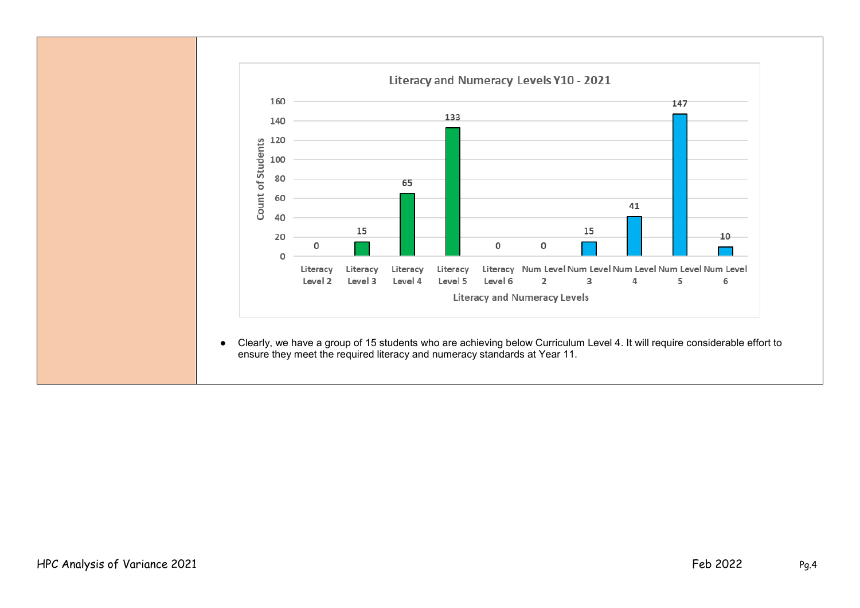

● Clearly, we have a group of 15 students who are achieving below Curriculum Level 4. It will require considerable effort to ensure they meet the required literacy and numeracy standards at Year 11.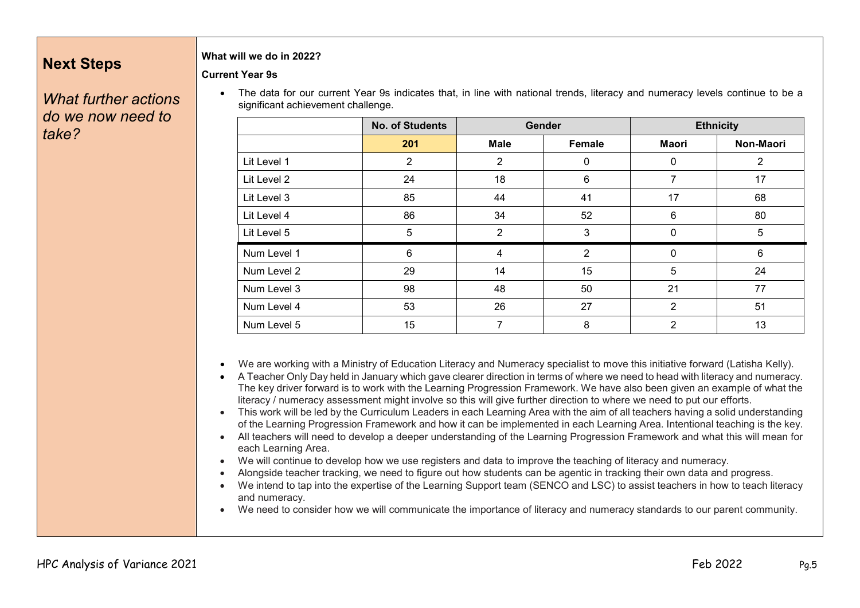## **Next Steps**

#### **What will we do in 2022?**

**Current Year 9s**

*What further actions do we now need to take?*

• The data for our current Year 9s indicates that, in line with national trends, literacy and numeracy levels continue to be a significant achievement challenge.

|             | <b>No. of Students</b> | <b>Gender</b>  |                  | <b>Ethnicity</b> |           |
|-------------|------------------------|----------------|------------------|------------------|-----------|
|             | 201                    | <b>Male</b>    | Female           | <b>Maori</b>     | Non-Maori |
| Lit Level 1 | $\overline{2}$         | $\overline{2}$ | $\mathbf 0$      | 0                | 2         |
| Lit Level 2 | 24                     | 18             | 6                | 7                | 17        |
| Lit Level 3 | 85                     | 44             | 41               | 17               | 68        |
| Lit Level 4 | 86                     | 34             | 52               | 6                | 80        |
| Lit Level 5 | 5                      | $\overline{2}$ | 3                | 0                | 5         |
| Num Level 1 | 6                      | $\overline{4}$ | $\overline{2}$   | $\mathbf 0$      | 6         |
| Num Level 2 | 29                     | 14             | 15 <sub>15</sub> | 5                | 24        |
| Num Level 3 | 98                     | 48             | 50               | 21               | 77        |
| Num Level 4 | 53                     | 26             | 27               | 2                | 51        |
| Num Level 5 | 15                     | 7              | 8                | $\overline{2}$   | 13        |

• We are working with a Ministry of Education Literacy and Numeracy specialist to move this initiative forward (Latisha Kelly).

- A Teacher Only Day held in January which gave clearer direction in terms of where we need to head with literacy and numeracy. The key driver forward is to work with the Learning Progression Framework. We have also been given an example of what the literacy / numeracy assessment might involve so this will give further direction to where we need to put our efforts.
- This work will be led by the Curriculum Leaders in each Learning Area with the aim of all teachers having a solid understanding of the Learning Progression Framework and how it can be implemented in each Learning Area. Intentional teaching is the key.
- All teachers will need to develop a deeper understanding of the Learning Progression Framework and what this will mean for each Learning Area.
- We will continue to develop how we use registers and data to improve the teaching of literacy and numeracy.
- Alongside teacher tracking, we need to figure out how students can be agentic in tracking their own data and progress.
- We intend to tap into the expertise of the Learning Support team (SENCO and LSC) to assist teachers in how to teach literacy and numeracy.
- We need to consider how we will communicate the importance of literacy and numeracy standards to our parent community.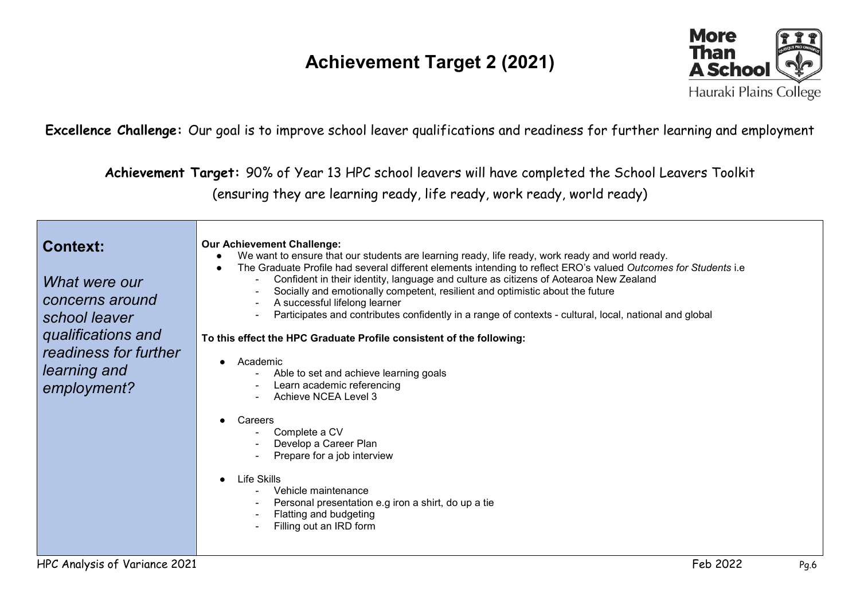# **Achievement Target 2 (2021)**



**Excellence Challenge:** Our goal is to improve school leaver qualifications and readiness for further learning and employment

**Achievement Target:** 90% of Year 13 HPC school leavers will have completed the School Leavers Toolkit (ensuring they are learning ready, life ready, work ready, world ready)

| <b>Context:</b><br>What were our<br>concerns around<br>school leaver | <b>Our Achievement Challenge:</b><br>We want to ensure that our students are learning ready, life ready, work ready and world ready.<br>The Graduate Profile had several different elements intending to reflect ERO's valued Outcomes for Students i.e<br>$\bullet$<br>Confident in their identity, language and culture as citizens of Aotearoa New Zealand<br>Socially and emotionally competent, resilient and optimistic about the future<br>A successful lifelong learner<br>Participates and contributes confidently in a range of contexts - cultural, local, national and global |  |  |  |  |
|----------------------------------------------------------------------|-------------------------------------------------------------------------------------------------------------------------------------------------------------------------------------------------------------------------------------------------------------------------------------------------------------------------------------------------------------------------------------------------------------------------------------------------------------------------------------------------------------------------------------------------------------------------------------------|--|--|--|--|
| qualifications and                                                   | To this effect the HPC Graduate Profile consistent of the following:                                                                                                                                                                                                                                                                                                                                                                                                                                                                                                                      |  |  |  |  |
| readiness for further<br>learning and<br>employment?                 | Academic<br>Able to set and achieve learning goals<br>Learn academic referencing<br>Achieve NCEA Level 3                                                                                                                                                                                                                                                                                                                                                                                                                                                                                  |  |  |  |  |
|                                                                      | Careers<br>Complete a CV<br>Develop a Career Plan<br>Prepare for a job interview                                                                                                                                                                                                                                                                                                                                                                                                                                                                                                          |  |  |  |  |
|                                                                      | Life Skills<br>Vehicle maintenance<br>Personal presentation e.g iron a shirt, do up a tie<br>Flatting and budgeting<br>Filling out an IRD form                                                                                                                                                                                                                                                                                                                                                                                                                                            |  |  |  |  |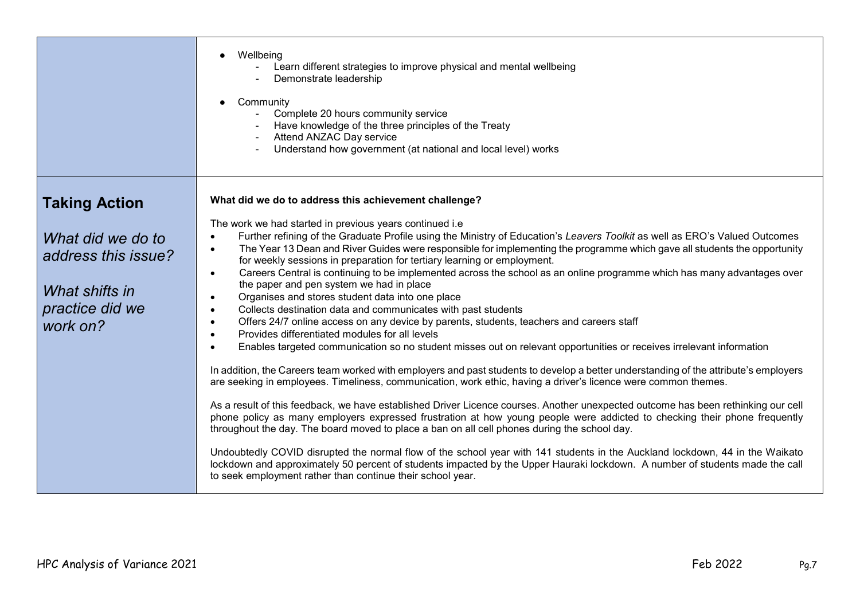|                                                                                                                   | Wellbeing<br>Learn different strategies to improve physical and mental wellbeing<br>Demonstrate leadership<br>Community<br>Complete 20 hours community service<br>Have knowledge of the three principles of the Treaty<br>Attend ANZAC Day service<br>Understand how government (at national and local level) works                                                                                                                                                                                                                                                                                                                                                                                                                                                                                                                                                                                                                                                                                                                                                                                                                                                                                                                                                                                                                                                                                                                                                                                                                                                                                                                                                                                                                                                                                                                                    |
|-------------------------------------------------------------------------------------------------------------------|--------------------------------------------------------------------------------------------------------------------------------------------------------------------------------------------------------------------------------------------------------------------------------------------------------------------------------------------------------------------------------------------------------------------------------------------------------------------------------------------------------------------------------------------------------------------------------------------------------------------------------------------------------------------------------------------------------------------------------------------------------------------------------------------------------------------------------------------------------------------------------------------------------------------------------------------------------------------------------------------------------------------------------------------------------------------------------------------------------------------------------------------------------------------------------------------------------------------------------------------------------------------------------------------------------------------------------------------------------------------------------------------------------------------------------------------------------------------------------------------------------------------------------------------------------------------------------------------------------------------------------------------------------------------------------------------------------------------------------------------------------------------------------------------------------------------------------------------------------|
| <b>Taking Action</b><br>What did we do to<br>address this issue?<br>What shifts in<br>practice did we<br>work on? | What did we do to address this achievement challenge?<br>The work we had started in previous years continued i.e<br>Further refining of the Graduate Profile using the Ministry of Education's Leavers Toolkit as well as ERO's Valued Outcomes<br>The Year 13 Dean and River Guides were responsible for implementing the programme which gave all students the opportunity<br>$\bullet$<br>for weekly sessions in preparation for tertiary learning or employment.<br>Careers Central is continuing to be implemented across the school as an online programme which has many advantages over<br>$\bullet$<br>the paper and pen system we had in place<br>Organises and stores student data into one place<br>Collects destination data and communicates with past students<br>$\bullet$<br>Offers 24/7 online access on any device by parents, students, teachers and careers staff<br>$\bullet$<br>Provides differentiated modules for all levels<br>$\bullet$<br>Enables targeted communication so no student misses out on relevant opportunities or receives irrelevant information<br>In addition, the Careers team worked with employers and past students to develop a better understanding of the attribute's employers<br>are seeking in employees. Timeliness, communication, work ethic, having a driver's licence were common themes.<br>As a result of this feedback, we have established Driver Licence courses. Another unexpected outcome has been rethinking our cell<br>phone policy as many employers expressed frustration at how young people were addicted to checking their phone frequently<br>throughout the day. The board moved to place a ban on all cell phones during the school day.<br>Undoubtedly COVID disrupted the normal flow of the school year with 141 students in the Auckland lockdown, 44 in the Waikato |
|                                                                                                                   | lockdown and approximately 50 percent of students impacted by the Upper Hauraki lockdown. A number of students made the call<br>to seek employment rather than continue their school year.                                                                                                                                                                                                                                                                                                                                                                                                                                                                                                                                                                                                                                                                                                                                                                                                                                                                                                                                                                                                                                                                                                                                                                                                                                                                                                                                                                                                                                                                                                                                                                                                                                                             |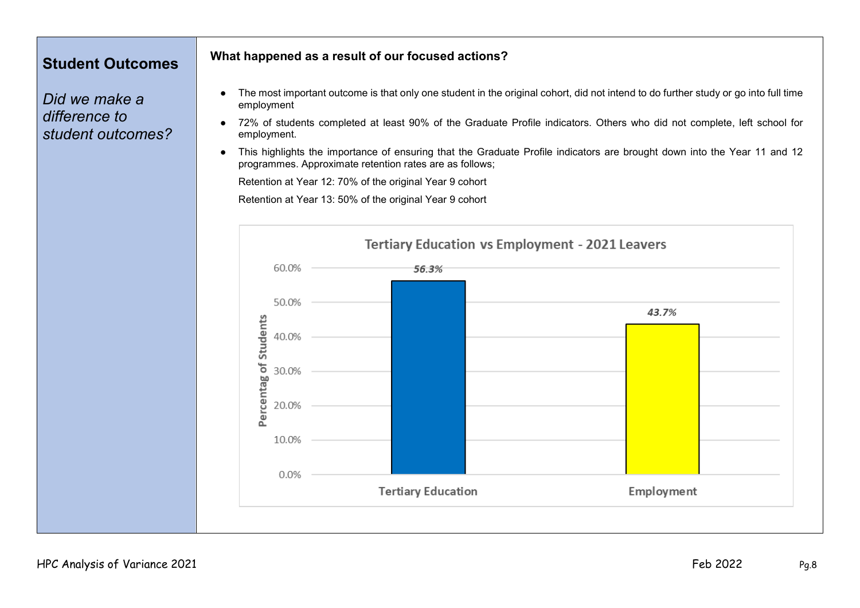## **Student Outcomes**

*Did we make a difference to student outcomes?*

### **What happened as a result of our focused actions?**

- The most important outcome is that only one student in the original cohort, did not intend to do further study or go into full time employment
- 72% of students completed at least 90% of the Graduate Profile indicators. Others who did not complete, left school for employment.
- This highlights the importance of ensuring that the Graduate Profile indicators are brought down into the Year 11 and 12 programmes. Approximate retention rates are as follows;

Retention at Year 12: 70% of the original Year 9 cohort

Retention at Year 13: 50% of the original Year 9 cohort

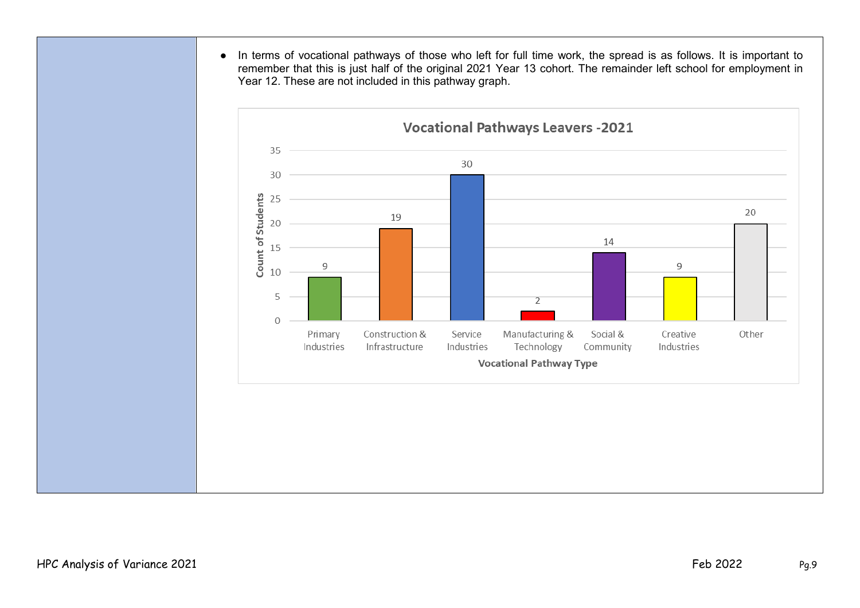● In terms of vocational pathways of those who left for full time work, the spread is as follows. It is important to remember that this is just half of the original 2021 Year 13 cohort. The remainder left school for employment in Year 12. These are not included in this pathway graph.

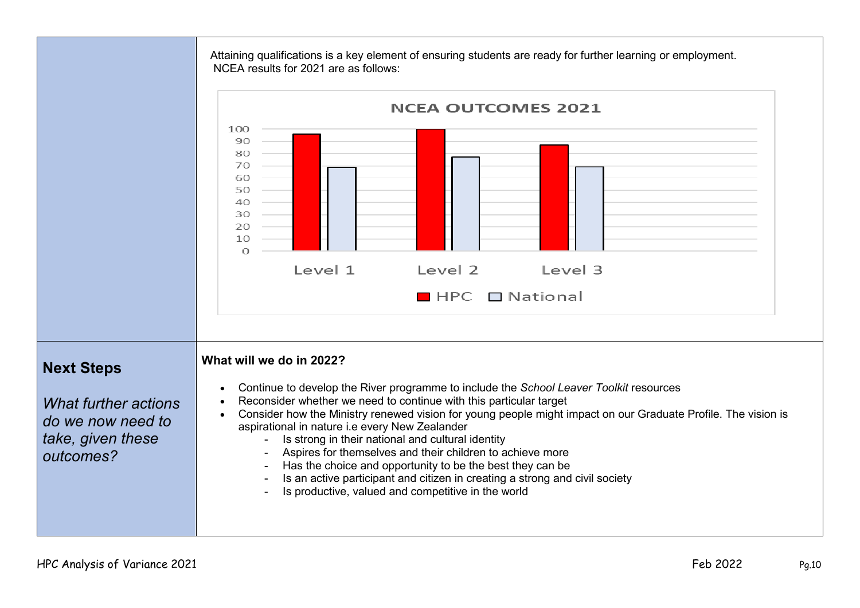